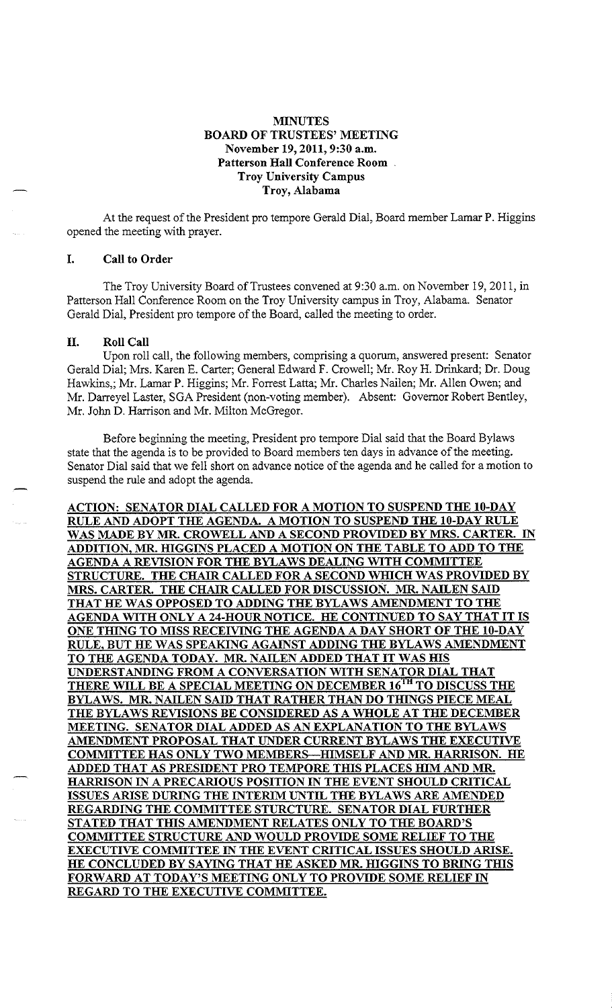# **MINUTES BOARD OF TRUSTEES' MEETING November 19, 2011, 9:30 a.m. Patterson Hall Conference Room Troy University Campus Troy, Alabama**

At the request of the President pro tempore Gerald Dial, Board member Lamar P. Higgins opened the meeting with prayer.

### I. **Call to Order**

The Troy University Board of Trustees convened at 9:30 a.m. on November 19,2011, in Patterson Hall Conference Room on the Troy University campus in Troy, Alabama. Senator Gerald Dial, President pro tempore of the Board, called the meeting to order.

### II. **Roll Call**

Upon roll call, the following members, comprising a quorum, answered present: Senator Gerald Dial; Mrs. Karen E. Carter; General Edward F. Crowell; Mr. Roy H. Drinkard; Dr. Doug Hawkins,; Mr. Lamar P. Higgins; Mr. Forrest Latta; Mr. Charles Nailen; Mr. Allen Owen; and Mr. Darreyel Laster, SGA President (non-voting member). Absent: Governor Robert Bentley, Mr. John D. Harrison and Mr. Milton McGregor.

Before beginning the meeting, President pro tempore Dial said that the Board Bylaws state that the agenda is to be provided to Board members ten days in advance of the meeting. Senator Dial said that we fell short on advance notice of the agenda and he called for a motion to suspend the rule and adopt the agenda.

**ACTION: SENATOR DIAL CALLED FOR A MOTION TO SUSPEND THE 10-DAY RULE AND ADOPT THE AGENDA. A MOTION TO SUSPEND THE 10-DAY RULE WAS MADE BY MR. CROWELL AND A SECOND PROVIDED BY MRS. CARTER. IN ADDITION, MR. HIGGINS PLACED A MOTION ON THE TABLE TO ADD TO THE AGENDA A REVISION FOR THE BYLAWS DEALING WITH COMMITTEE STRUCTURE. THE CHAIR CALLED FOR A SECOND WHICH WAS PROVIDED BY MRS. CARTER. THE CHAIR CALLED FOR DISCUSSION. MR. NAILEN SAID THAT HE WAS OPPOSED TO ADDING THE BYLAWS AMENDMENT TO THE AGENDA WITH ONLY A 24-HOUR NOTICE. HE CONTINUED TO SAY THAT IT IS ONE THING TO MISS RECEIVING THE AGENDA A DAY SHORT OF THE 10-DAY RULE, BUT HE WAS SPEAKING AGAINST ADDING THE BYLAWS AMENDMENT TO THE AGENDA TODAY. MR. NAILEN ADDED THAT IT WAS HIS UNDERSTANDING FROM A CONVERSATION WITH SENATOR DIAL THAT THERE WILL BE A SPECIAL MEETING ON DECEMBER 161H TO DISCUSS THE BYLAWS. MR. NAILEN SAID THAT RATHER THAN DO THINGS PIECE MEAL THE BYLAWS REVISIONS BE CONSIDERED AS A WHOLE AT THE DECEMBER MEETING. SENATOR DIAL ADDED AS AN EXPLANATION TO THE BYLAWS AMENDMENT PROPOSAL THAT UNDER CURRENT BYLAWS THE EXECUTIVE COMMITTEE HAS ONLY TWO MEMBERS-HIMSELF AND MR. HARRISON. HE ADDED THAT AS PRESIDENT PRO TEMPORE THIS PLACES IDM AND MR. HARRISON IN A PRECARIOUS POSITION IN THE EVENT SHOULD CRITICAL ISSUES ARISE DURING THE INTERIM UNTIL THE BYLAWS ARE AMENDED REGARDING THE COMMITTEE STURCTURE. SENATOR DIAL FURTHER STATED THAT THIS AMENDMENT RELATES ONLY TO THE BOARD'S COMMITTEE STRUCTURE AND WOULD PROVIDE SOME RELIEF TO THE EXECUTIVE COMMITTEE IN THE EVENT CRITICAL ISSUES SHOULD ARISE. HE CONCLUDED BY SAYING THAT HE ASKED MR. HIGGINS TO BRING THIS FORWARD AT TODAY'S MEETING ONLY TO PROVIDE SOME RELIEF IN REGARD TO THE EXECUTIVE COMMITTEE.**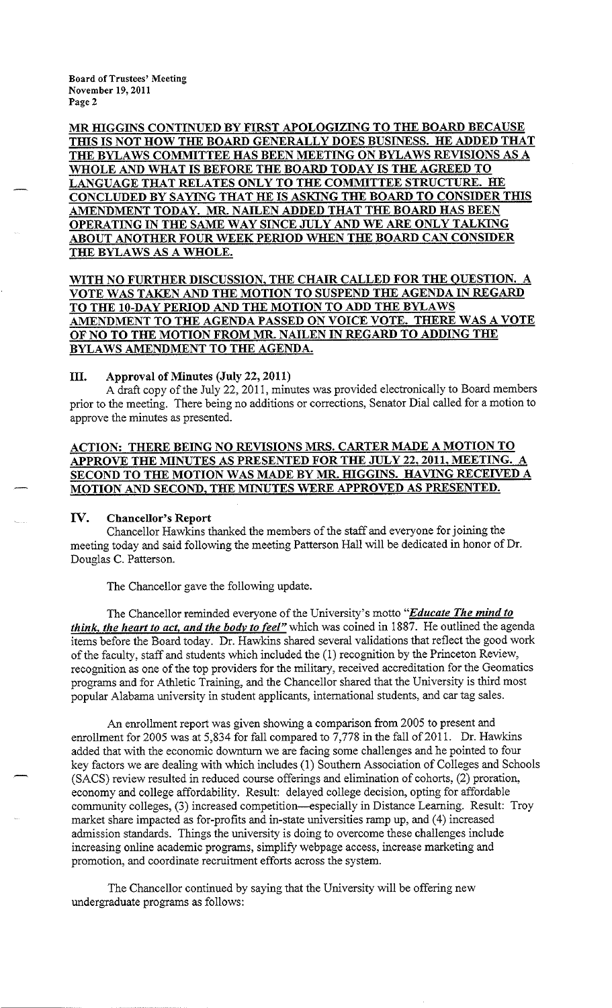MR HIGGINS CONTINUED BY FIRST APOLOGIZING TO THE BOARD BECAUSE THIS IS NOT HOW THE BOARD GENERALLY DOES BUSINESS. HE ADDED THAT THE BYLAWS COMMITTEE HAS BEEN MEETING ON BYLAWS REVISIONS AS A WHOLE AND WHAT IS BEFORE THE BOARD TODAY IS THE AGREED TO LANGUAGE THAT RELATES ONLY TO THE COMMITTEE STRUCTURE. HE CONCLUDED BY SAYING THAT HE IS ASKING THE BOARD TO CONSIDER THIS AMENDMENT TODAY. MR. NAILEN ADDED THAT THE BOARD HAS BEEN OPERATING IN THE SAME WAY SINCE JULY AND WE ARE ONLY TALKING ABOUT ANOTHER FOUR WEEK PERIOD WHEN THE BOARD CAN CONSIDER THE BYLAWS AS A WHOLE.

# **WITH NO FURTHER DISCUSSION, THE CHAIR CALLED FOR THE QUESTION. A VOTE WAS TAKEN AND THE MOTION TO SUSPEND THE AGENDA IN REGARD TO THE 10-DAY PERIOD AND THE MOTION TO ADD THE BYLAWS AMENDMENT TO THE AGENDA PASSED ON VOICE VOTE. THERE WAS A VOTE OF NO TO THE MOTION FROM MR. NAILEN IN REGARD TO ADDING THE BYLAWS AMENDMENT TO THE AGENDA.**

### III. **Approval of Minutes (July 22, 2011)**

A draft copy of the July 22, 2011, minutes was provided electronically to Board members prior to the meeting. There being no additions or corrections, Senator Dial called for a motion to approve the minutes as presented.

# **ACTION: THERE BEING NO REVISIONS MRS. CARTER MADE A MOTION TO APPROVE THE MINUTES AS PRESENTED FOR THE JULY 22, 2011, MEETING. A SECOND TO THE MOTION WAS MADE BY MR. HIGGINS. HAVING RECEIVED A MOTION AND SECOND, THE MINUTES WERE APPROVED AS PRESENTED.**

## **IV. Chancellor's Report**

Chancellor Hawkins thanked the members of the staff and everyone for joining the meeting today and said following the meeting Patterson Hall will be dedicated in honor of Dr. Douglas C. Patterson.

The Chancellor gave the following update.

The Chancellor reminded everyone of the University's motto *"Educate The mind to think, the heart to act, and the bodv to feel"* which was coined in 1887. He outlined the agenda items before the Board today. Dr. Hawkins shared several validations that reflect the good work of the faculty, staff and students which included the(!) recognition by the Princeton Review, recognition as one of the top providers for the military, received accreditation for the Geomatics programs and for Athletic Training, and the Chancellor shared that the University is third most popular Alabama university in student applicants, international students, and car tag sales.

An enrollment report was given showing a comparison from 2005 to present and enrollment for 2005 was at 5,834 for fall compared to  $7,778$  in the fall of 2011. Dr. Hawkins added that with the economic downturn we are facing some challenges and he pointed to four key factors we are dealing with which includes(!) Southern Association of Colleges and Schools (SACS) review resulted in reduced course offerings and elimination of cohorts, (2) proration, economy and college affordability. Result: delayed college decision, opting for affordable community colleges, (3) increased competition--especially in Distance Learning. Result: Troy market share impacted as for-profits and in-state universities ramp up, and (4) increased admission standards. Things the university is doing to overcome these challenges include increasing online academic programs, simplify webpage access, increase marketing and promotion, and coordinate recruitment efforts across the system.

The Chancellor continued by saying that the University will be offering new undergraduate programs as follows: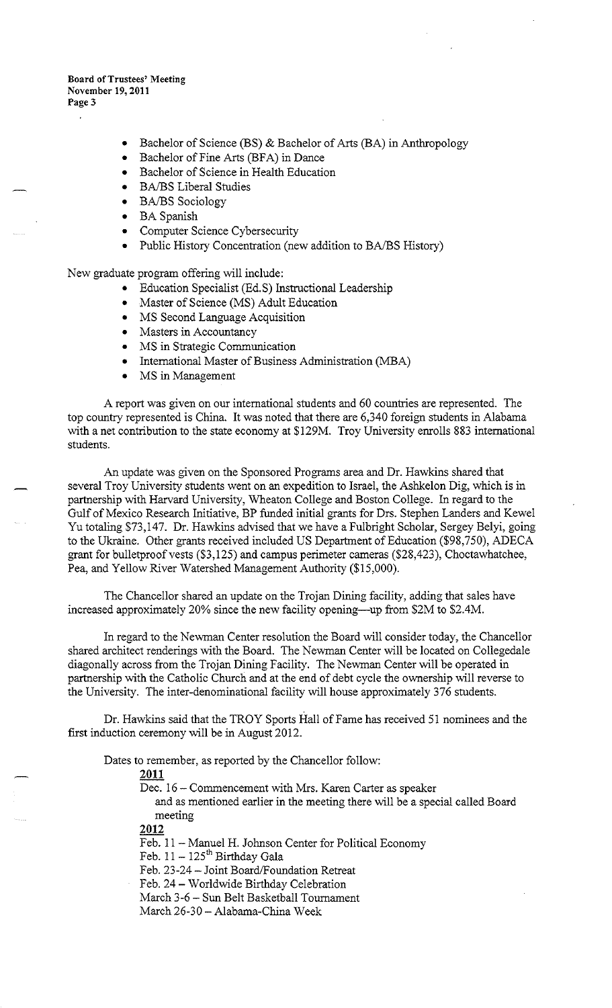- Bachelor of Science (BS) & Bachelor of Arts (BA) in Anthropology
- Bachelor of Fine Arts (BFA) in Dance
- Bachelor of Science in Health Education
- BA/BS Liberal Studies
- BA/BS Sociology
- BA Spanish
- Computer Science Cybersecurity
- Public History Concentration (new addition to BA/BS History)

New graduate program offering will include:

- Education Specialist (Ed.S) Instructional Leadership
- Master of Science (MS) Adult Education
- MS Second Language Acquisition
- Masters in Accountancy
- MS in Strategic Communication
- International Master of Business Administration (MBA)
- MS in Management

A report was given on our international students and 60 countries are represented. The top country represented is China. It was noted that there are 6,340 foreign students in Alabama with a net contribution to the state economy at \$129M. Troy University enrolls 883 international students.

An update was given on the Sponsored Programs area and Dr. Hawkins shared that several Troy University students went on an expedition to Israel, the Ashkelon Dig, which is in partnership with Harvard University, Wheaton College and Boston College. In regard to the Gulf of Mexico Research Initiative, BP funded initial grants for Drs. Stephen Landers and Kewel Yu totaling \$73,147. Dr. Hawkins advised that we have a Fulbright Scholar, Sergey Belyi, going to the Ukraine. Other grants received included US Department of Education (\$98,750), ADECA grant for bulletproof vests (\$3,125) and campus perimeter cameras (\$28,423), Choctawhatchee, Pea, and Yellow River Watershed Management Authority (\$15,000).

The Chancellor shared an update on the Trojan Dining facility, adding that sales have increased approximately 20% since the new facility opening—up from \$2M to \$2.4M.

In regard to the Newman Center resolution the Board will consider today, the Chancellor shared architect renderings with the Board. The Newman Center will be located on Collegedale diagonally across from the Trojan Dining Facility. The Newman Center will be operated in partnership with the Catholic Church and at the end of debt cycle the ownership will reverse to the University. The inter-denominational facility will house approximately 376 students.

Dr. Hawkins said that the TROY Sports Hall of Fame has received 51 nominees and the first induction ceremony will be in August 2012.

Dates to remember, as reported by the Chancellor follow:

## **2011**

Dec. 16 - Commencement with Mrs. Karen Carter as speaker

and as mentioned earlier in the meeting there will be a special called Board meeting

**2012** 

Feb. 11 - Manuel H. Johnson Center for Political Economy

Feb.  $11 - 125$ <sup>th</sup> Birthday Gala

Feb. 23-24- Joint Board/Foundation Retreat

Feb. 24- Worldwide Birthday Celebration

March 3-6 - Sun Belt Basketball Tournament

March 26-30 - Alabama-China Week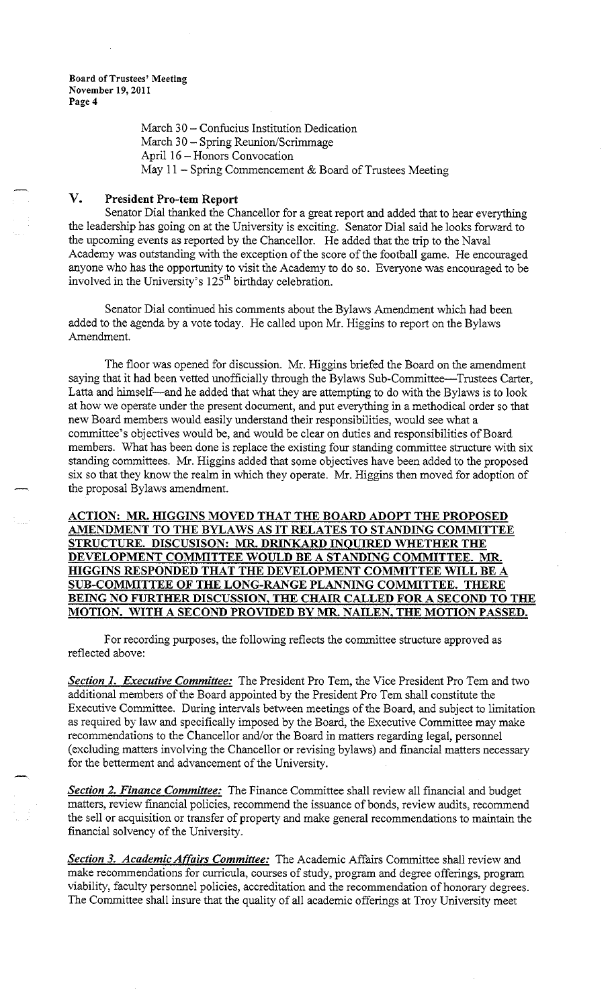> March 30 - Confucius Institution Dedication March 30- Spring Reunion/Scrimmage April 16 - Honors Convocation May 11 - Spring Commencement & Board of Trustees Meeting

# **V. President Pro-tern Report**

Senator Dial thanked the Chancellor for a great report and added that to hear everything the leadership has going on at the University is exciting. Senator Dial said he looks forward to the upcoming events as reported by the Chancellor. He added that the trip to the Naval Academy was outstanding with the exception of the score of the football game. He encouraged anyone who has the opportunity to visit the Academy to do so. Everyone was encouraged to be involved in the University's  $125<sup>th</sup>$  birthday celebration.

Senator Dial continued his comments about the Bylaws Amendment which had been added to the agenda by a vote today. He called upon Mr. Higgins to report on the Bylaws Amendment.

The floor was opened for discussion. Mr. Higgins briefed the Board on the amendment saying that it had been vetted unofficially through the Bylaws Sub-Committee-Trustees Carter, Latta and himself-and he added that what they are attempting to do with the Bylaws is to look at how we operate under the present document, and put everything in a methodical order so that new Board members would easily understand their responsibilities, would see what a committee's objectives would be, and would be clear on duties and responsibilities of Board members. What has been done is replace the existing four standing committee structure with six standing committees. Mr. Higgins added that some objectives have been added to the proposed six so that they know the realm in which they operate. Mr. Higgins then moved for adoption of the proposal Bylaws amendment.

**ACTION: MR. HIGGINS MOVED THAT THE BOARD ADOPT THE PROPOSED AMENDMENT TO THE BYLAWS AS IT RELATES TO STANDING COMMITTEE STRUCTURE. DISCUSISON: MR. DRINKARD INQUIRED WHETHER THE DEVELOPMENT COMMITTEE WOULD BE A STANDING COMMITTEE. MR. HIGGINS RESPONDED THAT THE DEVELOPMENT COMMITTEE WILL BE A SUB-COMMITTEE OF THE LONG-RANGE PLANNING COMMITTEE. THERE BEING NO FURTHER DISCUSSION, THE CHAIR CALLED FOR A SECOND TO THE MOTION. WITH A SECOND PROVIDED BY MR. NAILEN, THE MOTION PASSED.** 

For recording purposes, the following reflects the committee structure approved as reflected above:

**Section 1. Executive Committee:** The President Pro Tem, the Vice President Pro Tem and two additional members of the Board appointed by the President Pro Tern shall constitute the Executive Committee. During intervals between meetings of the Board, and subject to limitation as required by law and specifically imposed by the Board, the Executive Committee may make recommendations to the Chancellor and/or the Board in matters regarding legal, personnel (excluding matters involving the Chancellor or revising bylaws) and financial matters necessary for the betterment and advancement of the University.

*Section 2. Finance Committee:* The Finance Committee shall review all financial and budget matters, review financial policies, recommend the issuance of bonds, review audits, recommend the sell or acquisition or transfer of property and make general recommendations to maintain the financial solvency of the University.

*Section 3. Academic Affairs Committee:* The Academic Affairs Committee shall review and make recommendations for curricula, courses of study, program and degree offerings, program viability, faculty personnel policies, accreditation and the recommendation of honorary degrees. The Committee shall insure that the quality of all academic offerings at Troy University meet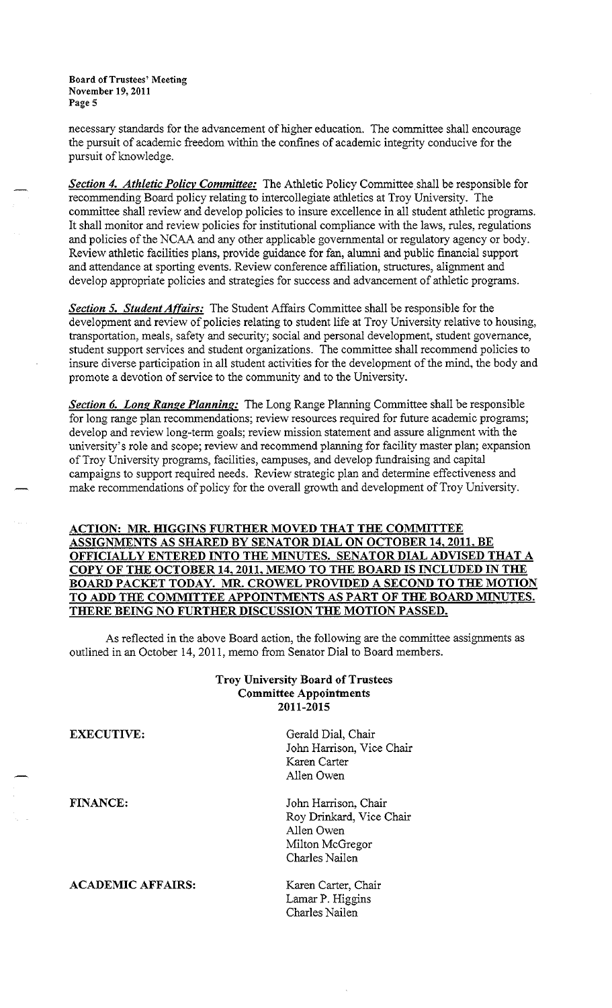necessary standards for the advancement of higher education. The committee shall encourage the pursuit of academic freedom within the confines of academic integrity conducive for the pursuit of knowledge.

**Section 4. Athletic Policy Committee:** The Athletic Policy Committee shall be responsible for recommending Board policy relating to intercollegiate athletics at Troy University. The committee shall review and develop policies to insure excellence in all student athletic programs. It shall monitor and review policies for institutional compliance with the Jaws, rules, regulations and policies of the NCAA and any other applicable governmental or regulatory agency or body. Review athletic facilities plans, provide guidance for fan, alumni and public financial support and attendance at sporting events. Review conference affiliation, structures, alignment and develop appropriate policies and strategies for success and advancement of athletic programs.

*Section 5. Student Affairs:* The Student Affairs Committee shall be responsible for the development and review of policies relating to student life at Troy University relative to housing, transportation, meals, safety and security; social and personal development, student governance, student support services and student organizations. The committee shall recommend policies to insure diverse participation in all student activities for the development of the mind, the body and promote a devotion of service to the community and to the University.

*Section 6. Long Range Planning:* The Long Range Planning Committee shall be responsible for long range plan recommendations; review resources required for future academic programs; develop and review long-term goals; review mission statement and assure alignment with the university's role and scope; review and recommend planning for facility master plan; expansion of Troy University programs, facilities, campuses, and develop fundraising and capital campaigns to support required needs. Review strategic plan and determine effectiveness and make recommendations of policy for the overall growth and development of Troy University.

# **ACTION: MR. HIGGINS FURTHER MOVED THAT THE COMMITTEE ASSIGNMENTS AS SHARED BY SENATOR DIAL ON OCTOBER 14, 2011, BE OFFICIALLY ENTERED INTO THE MINUTES. SENATOR DIAL ADVISED THAT A COPY OF THE OCTOBER 14, 2011, MEMO TO THE BOARD IS INCLUDED IN THE BOARD PACKET TODAY. MR. CROWEL PROVIDED A SECOND TO THE MOTION TO ADD THE COMMITTEE APPOINTMENTS AS PART OF THE BOARD MINUTES. THERE BEING NO FURTHER DISCUSSION THE MOTION PASSED.**

As reflected in the above Board action, the following are the committee assignments as outlined in an October 14, 2011, memo from Senator Dial to Board members.

## **Troy University Board of Trustees Committee Appointments 2011-2015**

**ACADEMIC AFFAIRS:** Karen Carter, Chair

**EXECUTIVE:** Gerald Dial, Chair John Harrison, Vice Chair Karen Carter Allen Owen

**FINANCE:** John Harrison, Chair Roy Drinkard, Vice Chair Allen Owen Milton McGregor Charles Nailen

> Lamar P. Higgins Charles Nailen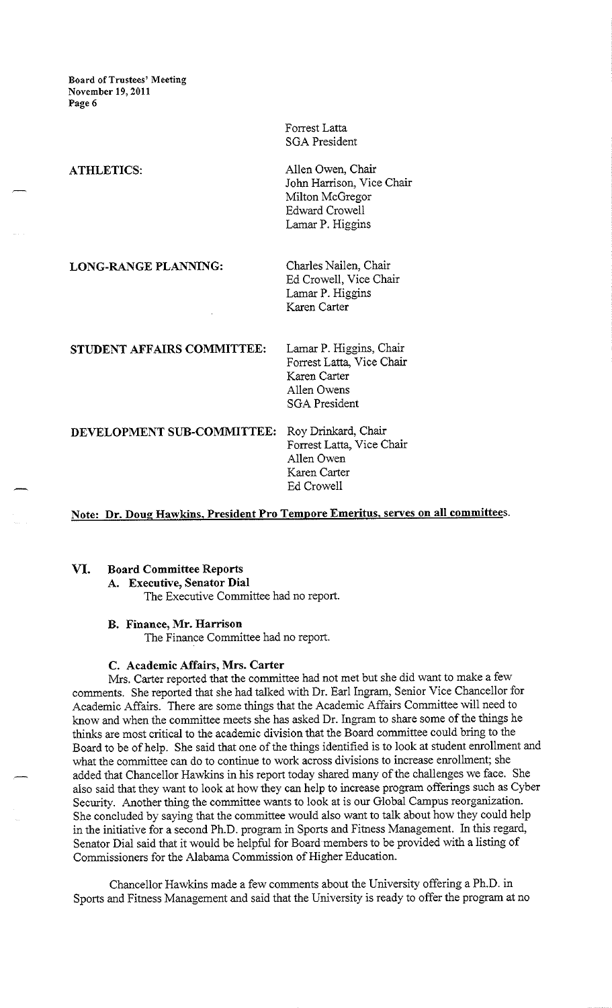> Forrest Latta SGA President

**ATHLETICS:** Allen Owen, Chair John Harrison, Vice Chair Milton McGregor Edward Crowell Lamar P. Higgins

**LONG-RANGE PLANNING:** Charles Nailen, Chair

Ed Crowell, Vice Chair Lamar P. Higgins Karen Carter

**STUDENT AFFAIRS COMMITTEE:** Lamar P. Higgins, Chair Forrest Latta, Vice Chair Karen Carter Allen Owens SGA President

**DEVELOPMENT SUB-COMMITTEE:** Roy Drinkard, Chair

Forrest Latta, Vice Chair Allen Owen Karen Carter Ed Crowell

**Note: Dr. Doug Hawkins, President Pro Tempore Emeritus, serves on all committees.** 

# **VI. Board Committee Reports**

**A. Executive, Senator Dial** 

The Executive Committee had no report.

## **B. Finance, Mr. Harrison**

The Finance Committee had no report.

#### **C. Academic Affairs, Mrs. Carter**

Mrs. Carter reported that the committee had not met but she did want to make a few comments. She reported that she had talked with Dr. Earl Ingram, Senior Vice Chancellor for Academic Affairs. There are some things that the Academic Affairs Committee will need to know and when the committee meets she has asked Dr. Ingram to share some of the things he thinks are most critical to the academic division that the Board committee could bring to the Board to be of help. She said that one of the things identified is to look at student enrollment and what the committee can do to continue to work across divisions to increase enrollment; she added that Chancellor Hawkins in his report today shared many of the challenges we face. She also said that they want to look at how they can help to increase program offerings such as Cyber Security. Another thing the committee wants to look at is our Global Campus reorganization. She concluded by saying that the committee would also want to talk about how they could help in the initiative for a second Ph.D. program in Sports and Fitness Management. In this regard, Senator Dial said that it would be helpful for Board members to be provided with a listing of Commissioners for the Alabama Commission of Higher Education.

Chancellor Hawkins made a few comments about the University offering a Ph.D. in Sports and Fitness Management and said that the University is ready to offer the program at no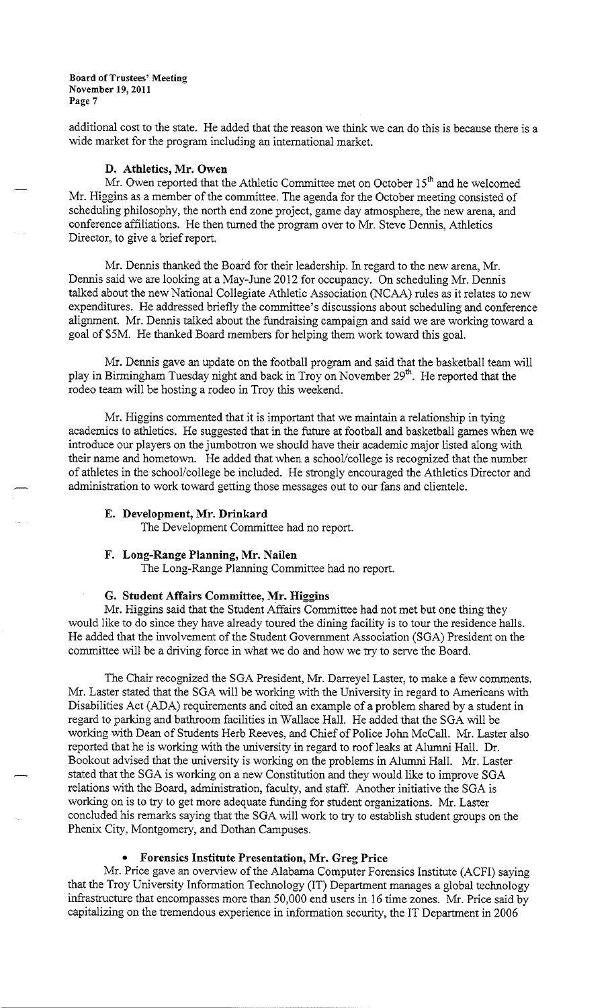additional cost to the state. He added that the reason we think we can do this is because there is a wide market for the program including an international market.

## **D. Athletics, Mr. Owen**

Mr. Owen reported that the Athletic Committee met on October  $15<sup>th</sup>$  and he welcomed Mr. Higgins as a member of the committee. The agenda for the October meeting consisted of scheduling philosophy, the north end zone project, game day atmosphere, the new arena, and conference affiliations. He then turned the program over to Mr. Steve Dennis, Athletics Director, to give a brief report.

Mr. Dennis thanked the Board for their leadership. In regard to the new arena, Mr. Dennis said we are looking at a May-June 2012 for occupancy. On scheduling Mr. Dennis talked about the new National Collegiate Athletic Association (NCAA) rules as it relates to new expenditures. He addressed briefly the committee's discussions about scheduling and conference alignment. Mr. Dennis talked about the fundraising campaign and said we are working toward a goal of \$SM. He thanked Board members for helping them work toward this goal.

Mr. Dennis gave an update on the football program and said that the basketball team will play in Birmingham Tuesday night and back in Troy on November 29<sup>th</sup>. He reported that the rodeo team will be hosting a rodeo in Troy this weekend.

Mr. Higgins commented that it is important that we maintain a relationship in tying academics to athletics. He suggested that in the future at football and basketball games when we introduce our players on the jumbotron we should have their academic major listed along with their name and hometown. He added that when a school/college is recognized that the number of athletes in the school/college be included. He strongly encouraged the Athletics Director and administration to work toward getting those messages out to our fans and clientele.

### **E. Development, Mr. Drinkard**

The Development Committee had no report.

#### **F. Long-Range Planning, Mr. Nailen**

The Long-Range Planning Committee had no report.

### **G. Student Affairs Committee, Mr. Higgins**

Mr. Higgins said that the Student Affairs Committee had not met but one thing they would like to do since they have already toured the dining facility is to tour the residence halls. He added that the involvement of the Student Government Association (SGA) President on the committee will be a driving force in what we do and how we try to serve the Board.

The Chair recognized the SGA President, Mr. Darreyel Laster, to make a few comments. Mr. Laster stated that the SGA will be working with the University in regard to Americans with Disabilities Act (ADA) requirements and cited an example of a problem shared by a student in regard to parking and bathroom facilities in Wallace Hall. He added that the SGA will be working with Dean of Students Herb Reeves, and Chief of Police John McCall. Mr. Laster also reported that he is working with the university in regard to roof leaks at Alumni Hall. Dr. Bookout advised that the university is working on the problems in Alumni Hall. Mr. Laster stated that the SGA is working on a new Constitution and they would like to improve SGA relations with the Board, administration, faculty, and staff. Another initiative the SGA is working on is to try to get more adequate funding for student organizations. Mr. Laster concluded his remarks saying that the SGA will work to try to establish student groups on the Phenix City, Montgomery, and Dothan Campuses.

## • **Forensics Institute Presentation, Mr. Greg Price**

Mr. Price gave an overview of the Alabama Computer Forensics Institute (ACFI) saying that the Troy University Information Technology (IT) Department manages a global technology infrastructure that encompasses more than 50,000 end users in 16 time zones. Mr. Price said by capitalizing on the tremendous experience in information security, the IT Department in 2006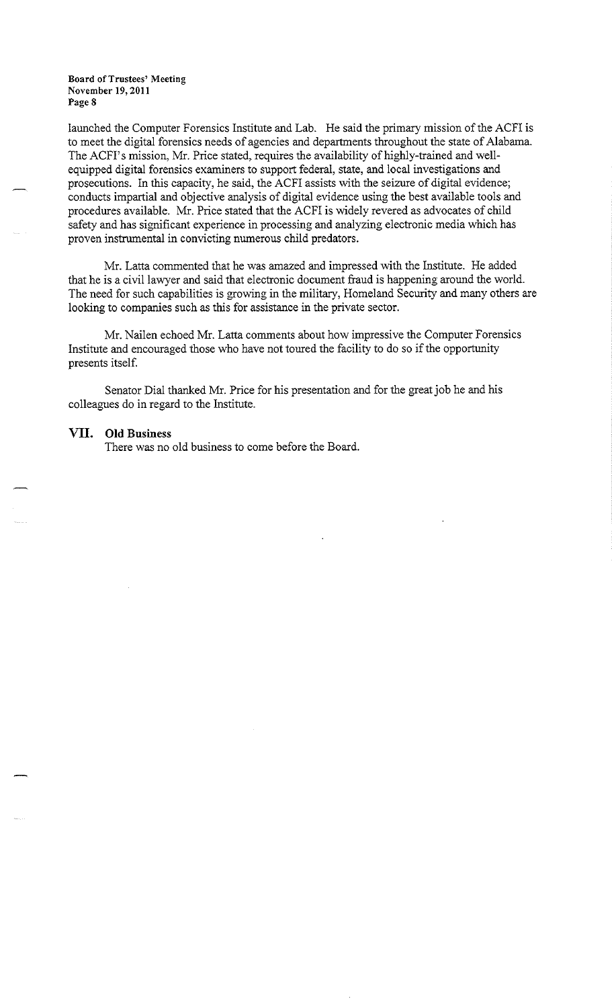launched the Computer Forensics Institute and Lab. He said the primary mission of the ACFI is to meet the digital forensics needs of agencies and departments throughout the state of Alabama. The ACFI's mission, Mr. Price stated, requires the availability of highly-trained and wellequipped digital forensics examiners to support federal, state, and local investigations and prosecutions. In this capacity, he said, the ACFI assists with the seizure of digital evidence; conducts impartial and objective analysis of digital evidence using the best available tools and procedures available. Mr. Price stated that the ACFI is widely revered as advocates of child safety and has significant experience in processing and analyzing electronic media which has proven instrumental in convicting numerous child predators.

Mr. Latta commented that he was amazed and impressed with the Institute. He added that he is a civil lawyer and said that electronic document fraud is happening around the world. The need for such capabilities is growing in the military, Homeland Security and many others are looking to companies such as this for assistance in the private sector.

Mr. Nailen echoed Mr. Latta comments about how impressive the Computer Forensics Institute and encouraged those who have not toured the facility to do so if the opportunity presents itself.

Senator Dial thanked Mr. Price for his presentation and for the great job he and his colleagues do in regard to the Institute.

#### **VII. Old Business**

There was no old business to come before the Board.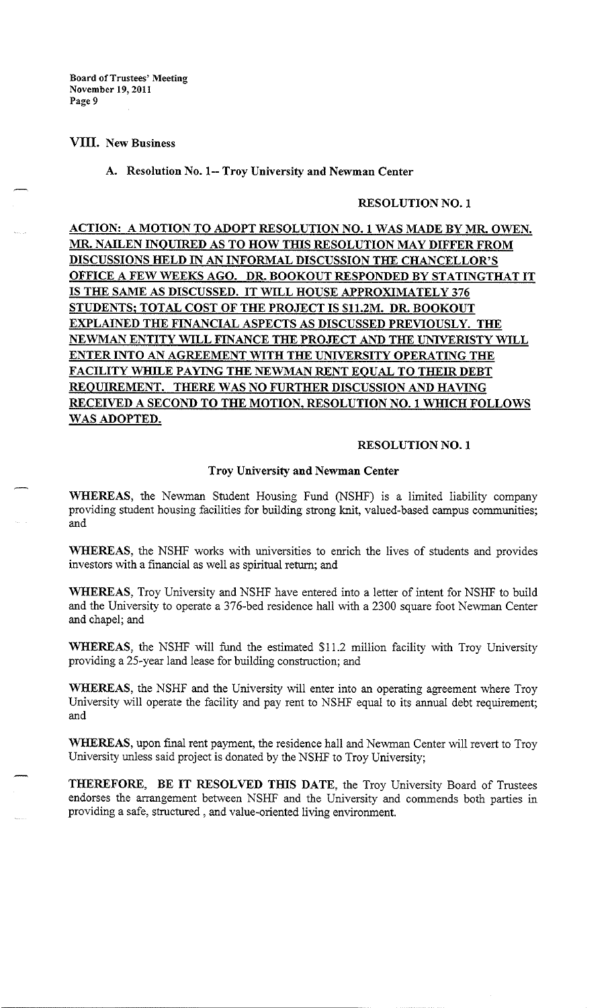## VIII. New Business

### A. Resolution No. 1-- Troy University and Newman Center

## **RESOLUTION NO. 1**

**ACTION: A MOTION TO ADOPT RESOLUTION NO. 1 WAS MADE BY MR OWEN. MR. NAILEN INQUIRED AS TO HOW THIS RESOLUTION MAY DIFFER FROM DISCUSSIONS HELD IN AN INFORMAL DISCUSSION THE CHANCELLOR'S OFFICE A FEW WEEKS AGO. DR. BOOKOUT RESPONDED BY STATINGTHAT IT IS THE SAME AS DISCUSSED. IT WILL HOUSE APPROXIMATELY 376 STUDENTS; TOTAL COST OF THE PROJECT IS \$11.2M. DR BOOKOUT EXPLAINED THE FINANCIAL ASPECTS AS DISCUSSED PREVIOUSLY. THE NEWMAN ENTITY WILL FINANCE THE PROJECT AND THE UNIVERISTY WILL ENTER INTO AN AGREEMENT WITH THE UNIVERSITY OPERATING THE FACILITY WHILE PAYING THE NEWMAN RENT EQUAL TO THEIR DEBT REQUIREMENT. THERE WAS NO FURTHER DISCUSSION AND HAVING RECEIVED A SECOND TO THE MOTION, RESOLUTION NO. 1 WHICH FOLLOWS WAS ADOPTED.** 

## **RESOLUTION NO. 1**

### **Troy University and Newman Center**

**WHEREAS,** the Newman Student Housing Fund (NSHF) is a limited liability company providing student housing facilities for building strong knit, valued-based campus communities; and

**WHEREAS,** the NSHF works with universities to enrich the lives of students and provides investors with a financial as well as spiritual return; and

**WHEREAS,** Troy University and NSHF have entered into a letter of intent for NSHF to build and the University to operate a 376-bed residence hall with a 2300 square foot Newman Center and chapel; and

**WHEREAS,** the NSHF will fund the estimated \$11.2 million facility with Troy University providing a 25-year land lease for building construction; and

**WHEREAS,** the NSHF and the University will enter into an operating agreement where Troy University will operate the facility and pay rent to NSHF equal to its annual debt requirement; and

**WHEREAS,** upon final rent payment, the residence hall and Newman Center will revert to Troy University unless said project is donated by the NSHF to Troy University;

**THEREFORE, BE IT RESOLVED THIS DATE,** the Troy University Board of Trustees endorses the arrangement between NSHF and the University and commends both parties in providing a safe, structured , and value-oriented living environment.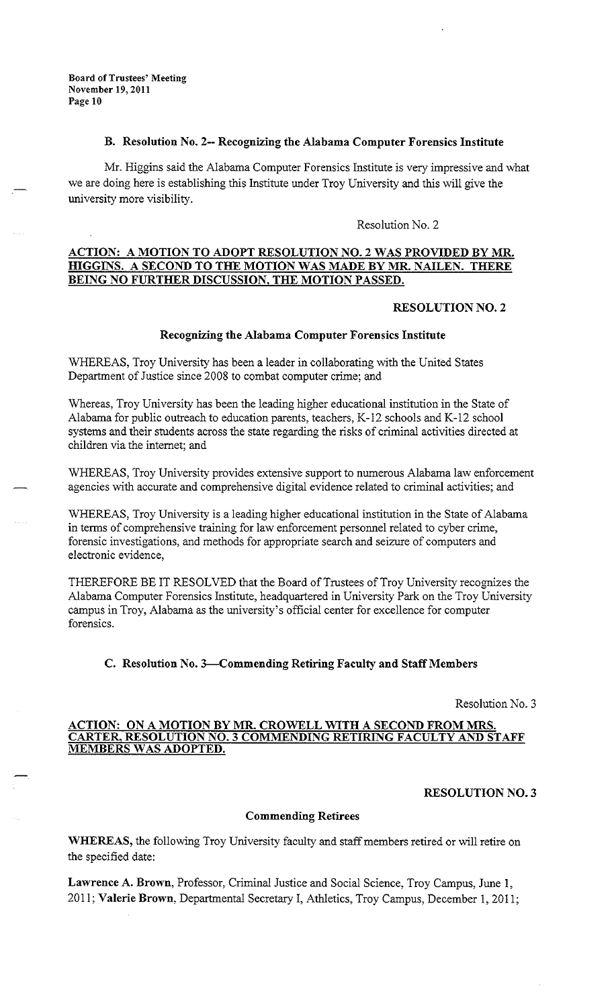## **B. Resolution No. 2-- Recognizing the Alabama Computer Forensics Institute**

Mr. Higgins said the Alabama Computer Forensics Institute is very impressive and what we are doing here is establishing this Institute under Troy University and this will give the university more visibility.

Resolution No. 2

## **ACTION: A MOTION TO ADOPT RESOLUTION NO.** 2 **WAS PROVIDED BY MR. HIGGINS. A SECOND TO THE MOTION WAS MADE BY MR. NAILEN. THERE BEING NO FURTHER DISCUSSION, THE MOTION PASSED.**

### **RESOLUTION NO. 2**

### **Recognizing the Alabama Computer Forensics Institute**

WHEREAS, Troy University has been a leader in collaborating with the United States Department of Justice since 2008 to combat computer crime; and

Whereas, Troy University has been the leading higher educational institution in the State of Alabama for public outreach to education parents, teachers, K-12 schools and K-12 school systems and their students across the state regarding the risks of criminal activities directed at children via the internet; and

WHEREAS, Troy University provides extensive support to numerous Alabama law enforcement agencies with accurate and comprehensive digital evidence related to criminal activities; and

WHEREAS, Troy University is a leading higher educational institution in the State of Alabama in terms of comprehensive training for law enforcement personnel related to cyber crime, forensic investigations, and methods for appropriate search and seizure of computers and electronic evidence,

THEREFORE BE IT RESOLVED that the Board of Trustees of Troy University recognizes the Alabama Computer Forensics Institute, headquartered in University Park on the Troy University campus in Troy, Alabama as the university's official center for excellence for computer forensics.

# **C. Resolution No. 3-Commending Retiring Faculty and Staff Members**

Resolution No. 3

## **ACTION: ON A MOTION BY MR. CROWELL WITH A SECOND FROM MRS. CARTER, RESOLUTION NO. 3 COMMENDING RETIRING FACULTY AND STAFF MEMBERS WAS ADOPTED.**

#### **RESOLUTION NO. 3**

## **Commending Retirees**

**WHEREAS,** the following Troy University faculty and staff members retired or will retire on the specified date:

**Lawrence A. Brown,** Professor, Criminal Justice and Social Science, Troy Campus, June 1, 2011; **Valerie Brown,** Departmental Secretary I, Athletics, Troy Campus, December 1, 2011;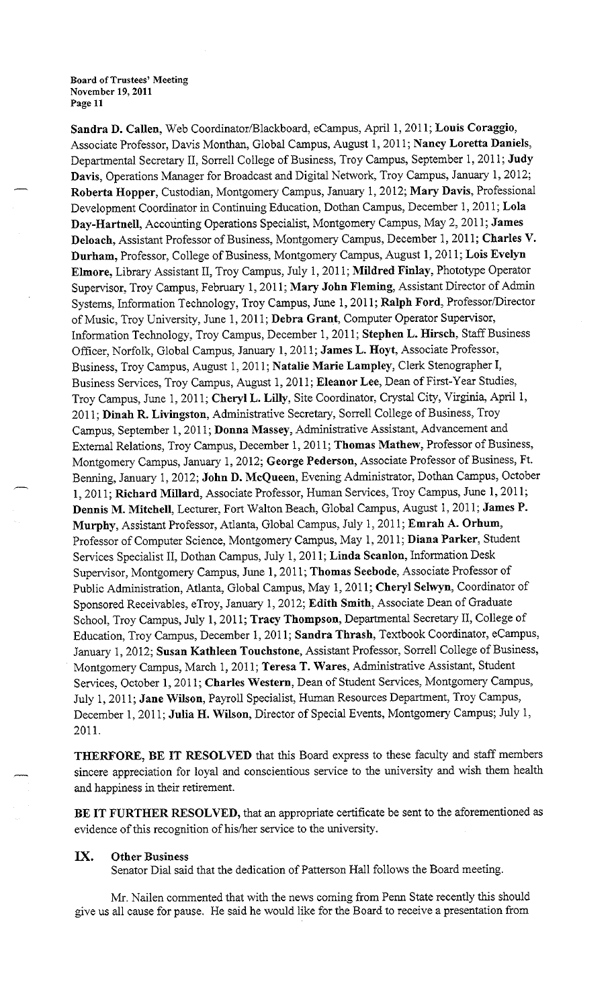**Sandra D. Callen,** Web Coordinator/Blackboard, eCampus, April 1, 2011; **Louis Coraggio,**  Associate Professor, Davis Monthan, Global Campus, August 1, 201 I; **Nancy Loretta Daniels,**  Departmental Secretary II, Sorrell College of Business, Troy Campus, September 1, 2011; **Judy Davis,** Operations Manager for Broadcast and Digital Network, Troy Campus, January **1,** 2012; **Roberta Hopper,** Custodian, Montgomery Campus, January 1, 2012; **Mary Davis,** Professional Development Coordinator in Continuing Education, Dothan Campus, December 1, 2011; **Lola Day-Hartnell,** Accounting Operations Specialist, Montgomery Campus, May 2, 2011; **James Deloach,** Assistant Professor of Business, Montgomery Campus, December 1, 2011; **Charles V. Durham,** Professor, College of Business, Montgomery Campus, August **1,** 2011; **Lois Evelyn Elmore,** Library Assistant II, Troy Campus, July 1, 2011; **Mildred Finlay,** Phototype Operator Supervisor, Troy Campus, February 1, 2011; **Mary John Fleming,** Assistant Director of Admin Systems, Information Technology, Troy Campus, June 1, 2011; **Ralph Ford,** Professor/Director of Music, Troy University, June 1, 2011; **Debra Grant,** Computer Operator Supervisor, Information Technology, Troy Campus, December 1, 2011; **Stephen L. Hirsch,** Staff Business Officer, Norfolk, Global Campus, January **1,** 2011; **James L. Hoyt,** Associate Professor, Business, Troy Campus, August 1, 2011; **Natalie Marie Lampley,** Clerk Stenographer I, Business Services, Troy Campus, August 1, 2011; **Eleanor Lee,** Dean of First-Year Studies, Troy Campus, June 1, 2011; **Cheryl L. Lilly,** Site Coordinator, Crystal City, Virginia, April 1, 2011; **Dinah R. Livingston,** Administrative Secretary, Sorrell College of Business, Troy Campus, September 1, 2011; **Donna Massey,** Administrative Assistant, Advancement and External Relations, Troy Campus, December 1, 2011; **Thomas Mathew,** Professor of Business, Montgomery Campus, January 1, 2012; **George Pederson,** Associate Professor of Business, Ft. Benning, January 1, 2012; **John D. McQueen,** Evening Administrator, Dothan Campus, October **1,** 2011; **Richard Millard,** Associate Professor, Human Services, Troy Campus, June 1, 2011; **Dennis M. Mitchell,** Lecturer, Fort Walton Beach, Global Campus, August 1, 2011; **James P. Murphy,** Assistant Professor, Atlanta, Global Campus, July 1, 2011; **Emrah A. Orhum,**  Professor of Computer Science, Montgomery Campus, May 1, 2011; **Diana Parker,** Student Services Specialist II, Dothan Campus, July 1, 2011; **Linda Scanlon,** Information Desk Supervisor, Montgomery Campus, June 1, 2011; Thomas Seebode, Associate Professor of Public Administration, Atlanta, Global Campus, May 1, 2011; **Cheryl Selwyn,** Coordinator of Sponsored Receivables, eTroy, January 1, 2012; **Edith Smith,** Associate Dean of Graduate School, Troy Campus, July 1, 2011; **Tracy Thompson,** Departmental Secretary II, College of Education, Troy Campus, December 1, 2011; **Sandra Thrash,** Textbook Coordinator, eCampus, January 1, 2012; **Susan Kathleen Touchstone,** Assistant Professor, Sorrell College of Business, Montgomery Campus, March 1, 2011; **Teresa T. Wares,** Administrative Assistant, Student Services, October **1,** 2011; **Charles Western,** Dean of Student Services, Montgomery Campus, July 1, 2011; **Jane Wilson,** Payroll Specialist, Human Resources Department, Troy Campus, December 1, 2011; **Julia H. Wilson,** Director of Special Events, Montgomery Campus; July!, 2011.

**THERFORE, BE IT RESOLVED** that this Board express to these faculty and staff members sincere appreciation for loyal and conscientious service to the university and wish them health and happiness in their retirement.

**BE IT FURTHER RESOLVED,** that an appropriate certificate be sent to the aforementioned as evidence of this recognition of his/her service to the university.

## **IX. Other Business**

Senator Dial said that the dedication of Patterson Hall follows the Board meeting.

Mr. Nailen commented that with the news coming from Penn State recently this should give us all cause for pause. He said he would like for the Board to receive a presentation from